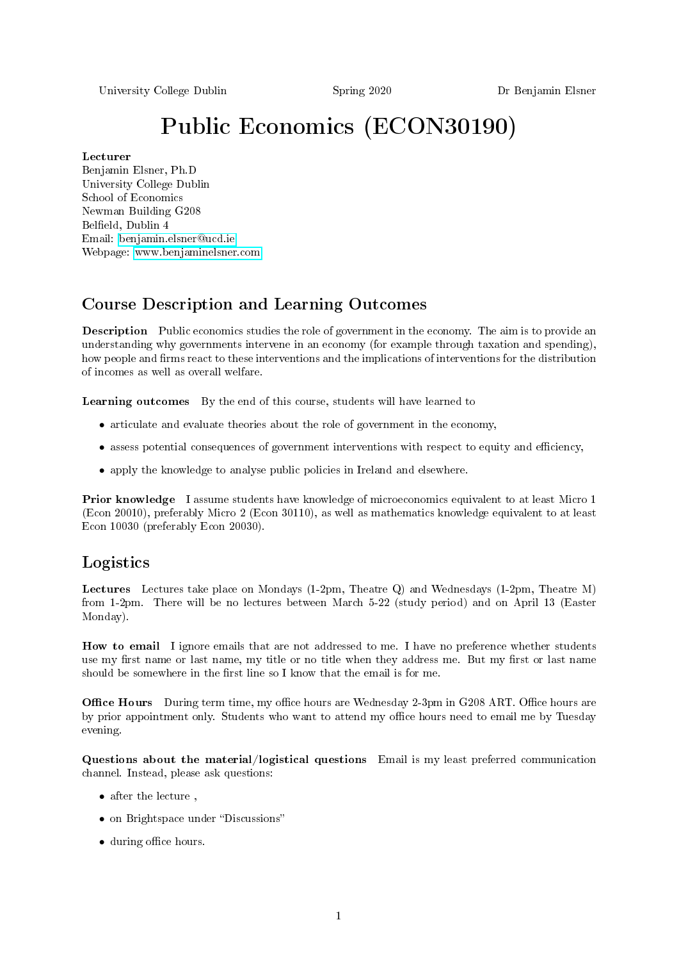University College Dublin Spring 2020 Dr Benjamin Elsner

# Public Economics (ECON30190)

#### Lecturer

Benjamin Elsner, Ph.D University College Dublin School of Economics Newman Building G208 Belfield, Dublin 4 Email: [benjamin.elsner@ucd.ie](mailto:benjamin.elsner@ucd.ie) Webpage: [www.benjaminelsner.com](http://www.benjaminelsner.com)

## Course Description and Learning Outcomes

Description Public economics studies the role of government in the economy. The aim is to provide an understanding why governments intervene in an economy (for example through taxation and spending), how people and firms react to these interventions and the implications of interventions for the distribution of incomes as well as overall welfare.

Learning outcomes By the end of this course, students will have learned to

- articulate and evaluate theories about the role of government in the economy,
- assess potential consequences of government interventions with respect to equity and efficiency,
- apply the knowledge to analyse public policies in Ireland and elsewhere.

Prior knowledge I assume students have knowledge of microeconomics equivalent to at least Micro 1 (Econ 20010), preferably Micro 2 (Econ 30110), as well as mathematics knowledge equivalent to at least Econ 10030 (preferably Econ 20030).

### Logistics

Lectures Lectures take place on Mondays (1-2pm, Theatre Q) and Wednesdays (1-2pm, Theatre M) from 1-2pm. There will be no lectures between March 5-22 (study period) and on April 13 (Easter Monday).

How to email I ignore emails that are not addressed to me. I have no preference whether students use my first name or last name, my title or no title when they address me. But my first or last name should be somewhere in the first line so I know that the email is for me.

Office Hours During term time, my office hours are Wednesday 2-3pm in G208 ART. Office hours are by prior appointment only. Students who want to attend my office hours need to email me by Tuesday evening.

Questions about the material/logistical questions Email is my least preferred communication channel. Instead, please ask questions:

- after the lecture,
- on Brightspace under "Discussions"
- during office hours.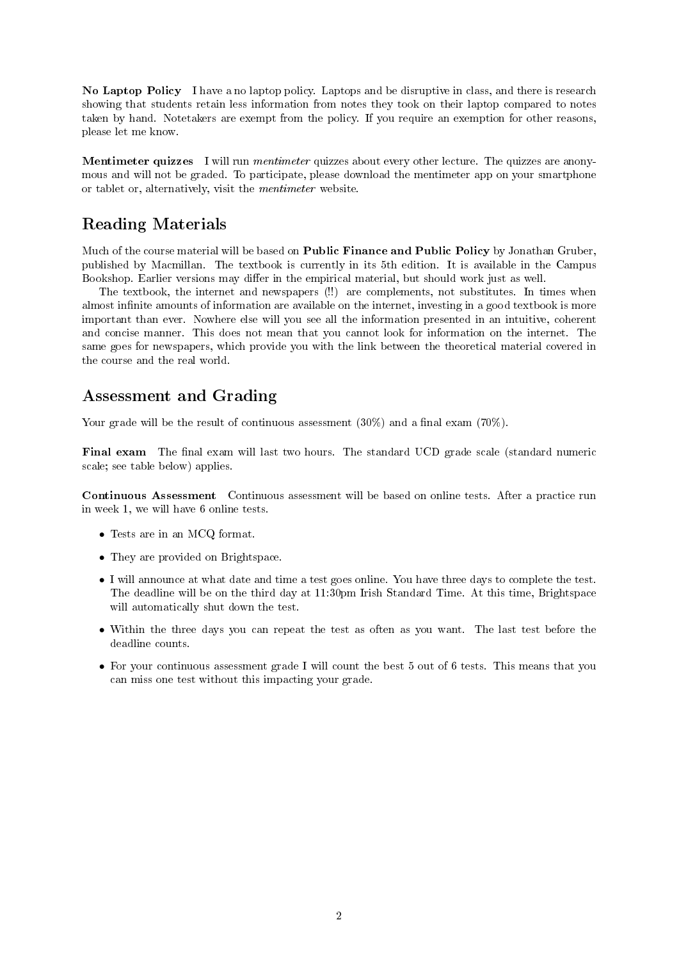No Laptop Policy I have a no laptop policy. Laptops and be disruptive in class, and there is research showing that students retain less information from notes they took on their laptop compared to notes taken by hand. Notetakers are exempt from the policy. If you require an exemption for other reasons, please let me know.

Mentimeter quizzes I will run *mentimeter* quizzes about every other lecture. The quizzes are anonymous and will not be graded. To participate, please download the mentimeter app on your smartphone or tablet or, alternatively, visit the mentimeter website.

#### Reading Materials

Much of the course material will be based on Public Finance and Public Policy by Jonathan Gruber, published by Macmillan. The textbook is currently in its 5th edition. It is available in the Campus Bookshop. Earlier versions may differ in the empirical material, but should work just as well.

The textbook, the internet and newspapers (!!) are complements, not substitutes. In times when almost infinite amounts of information are available on the internet, investing in a good textbook is more important than ever. Nowhere else will you see all the information presented in an intuitive, coherent and concise manner. This does not mean that you cannot look for information on the internet. The same goes for newspapers, which provide you with the link between the theoretical material covered in the course and the real world.

#### Assessment and Grading

Your grade will be the result of continuous assessment  $(30\%)$  and a final exam  $(70\%)$ .

Final exam The final exam will last two hours. The standard UCD grade scale (standard numeric scale; see table below) applies.

Continuous Assessment Continuous assessment will be based on online tests. After a practice run in week 1, we will have 6 online tests.

- Tests are in an MCQ format.
- They are provided on Brightspace.
- I will announce at what date and time a test goes online. You have three days to complete the test. The deadline will be on the third day at 11:30pm Irish Standard Time. At this time, Brightspace will automatically shut down the test.
- Within the three days you can repeat the test as often as you want. The last test before the deadline counts.
- For your continuous assessment grade I will count the best 5 out of 6 tests. This means that you can miss one test without this impacting your grade.